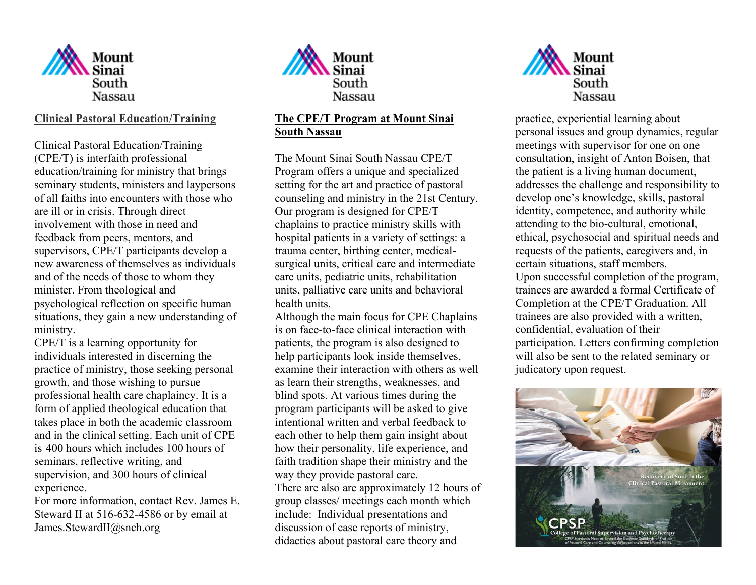

# **Clinical Pastoral Education/Training**

Clinical Pastoral Education/Training (CPE/T) is interfaith professional education/training for ministry that brings seminary students, ministers and laypersons of all faiths into encounters with those who are ill or in crisis. Through direct involvement with those in need and feedback from peers, mentors, and supervisors, CPE/T participants develop a new awareness of themselves as individuals and of the needs of those to whom they minister. From theological and psychological reflection on specific human situations, they gain a new understanding of ministry.

CPE/T is a learning opportunity for individuals interested in discerning the practice of ministry, those seeking personal growth, and those wishing to pursue professional health care chaplaincy. It is a form of applied theological education that takes place in both the academic classroom and in the clinical setting. Each unit of CPE is 400 hours which includes 100 hours of seminars, reflective writing, and supervision, and 300 hours of clinical experience.

For more information, contact Rev. James E. Steward II at 516-632-4586 or by email at James.StewardII@snch.org



### **The CPE/T Program at Mount Sinai South Nassau**

The Mount Sinai South Nassau CPE/T Program offers a unique and specialized setting for the art and practice of pastoral counseling and ministry in the 21st Century. Our program is designed for CPE/T chaplains to practice ministry skills with hospital patients in a variety of settings: a trauma center, birthing center, medicalsurgical units, critical care and intermediate care units, pediatric units, rehabilitation units, palliative care units and behavioral health units.

Although the main focus for CPE Chaplains is on face-to-face clinical interaction with patients, the program is also designed to help participants look inside themselves, examine their interaction with others as well as learn their strengths, weaknesses, and blind spots. At various times during the program participants will be asked to give intentional written and verbal feedback to each other to help them gain insight about how their personality, life experience, and faith tradition shape their ministry and the way they provide pastoral care. There are also are approximately 12 hours of group classes/ meetings each month which include: Individual presentations and discussion of case reports of ministry, didactics about pastoral care theory and



 practice, experiential learning about personal issues and group dynamics, regular meetings with supervisor for one on one consultation, insight of Anton Boisen, that the patient is a living human document, addresses the challenge and responsibility to develop one's knowledge, skills, pastoral identity, competence, and authority while attending to the bio-cultural, emotional, ethical, psychosocial and spiritual needs and requests of the patients, caregivers and, in certain situations, staff members. Upon successful completion of the program, trainees are awarded a formal Certificate of Completion at the CPE/T Graduation. All trainees are also provided with a written, confidential, evaluation of their participation. Letters confirming completion will also be sent to the related seminary or judicatory upon request.